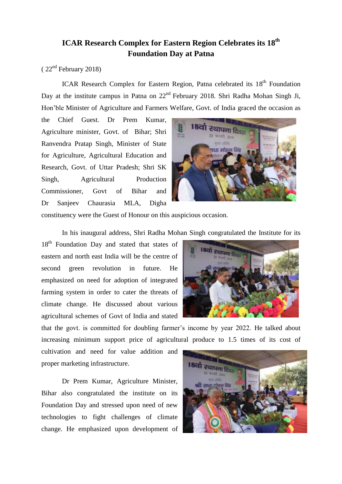## **ICAR Research Complex for Eastern Region Celebrates its 18 th Foundation Day at Patna**

## $(22<sup>nd</sup> February 2018)$

ICAR Research Complex for Eastern Region, Patna celebrated its 18<sup>th</sup> Foundation Day at the institute campus in Patna on 22<sup>nd</sup> February 2018. Shri Radha Mohan Singh Ji, Hon'ble Minister of Agriculture and Farmers Welfare, Govt. of India graced the occasion as

the Chief Guest. Dr Prem Kumar, Agriculture minister, Govt. of Bihar; Shri Ranvendra Pratap Singh, Minister of State for Agriculture, Agricultural Education and Research, Govt. of Uttar Pradesh; Shri SK Singh, Agricultural Production Commissioner, Govt of Bihar and Dr Sanjeev Chaurasia MLA, Digha



constituency were the Guest of Honour on this auspicious occasion.

In his inaugural address, Shri Radha Mohan Singh congratulated the Institute for its

18<sup>th</sup> Foundation Day and stated that states of eastern and north east India will be the centre of second green revolution in future. He emphasized on need for adoption of integrated farming system in order to cater the threats of climate change. He discussed about various agricultural schemes of Govt of India and stated



that the govt. is committed for doubling farmer's income by year 2022. He talked about increasing minimum support price of agricultural produce to 1.5 times of its cost of

cultivation and need for value addition and proper marketing infrastructure.

Dr Prem Kumar, Agriculture Minister, Bihar also congratulated the institute on its Foundation Day and stressed upon need of new technologies to fight challenges of climate change. He emphasized upon development of

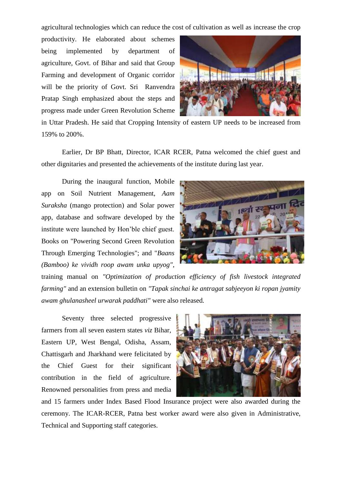agricultural technologies which can reduce the cost of cultivation as well as increase the crop

productivity. He elaborated about schemes being implemented by department of agriculture, Govt. of Bihar and said that Group Farming and development of Organic corridor will be the priority of Govt. Sri Ranvendra Pratap Singh emphasized about the steps and progress made under Green Revolution Scheme



in Uttar Pradesh. He said that Cropping Intensity of eastern UP needs to be increased from 159% to 200%.

Earlier, Dr BP Bhatt, Director, ICAR RCER, Patna welcomed the chief guest and other dignitaries and presented the achievements of the institute during last year.

During the inaugural function, Mobile app on Soil Nutrient Management, *Aam Suraksha* (mango protection) and Solar power app, database and software developed by the institute were launched by Hon'ble chief guest. Books on "Powering Second Green Revolution Through Emerging Technologies"; and "*Baans (Bamboo) ke vividh roop awam unka upyog",* 



training manual on *"Optimization of production efficiency of fish livestock integrated farming"* and an extension bulletin on *"Tapak sinchai ke antragat sabjeeyon ki ropan jyamity awam ghulanasheel urwarak paddhati"* were also released*.* 

Seventy three selected progressive farmers from all seven eastern states *viz* Bihar, Eastern UP, West Bengal, Odisha, Assam, Chattisgarh and Jharkhand were felicitated by the Chief Guest for their significant contribution in the field of agriculture. Renowned personalities from press and media



and 15 farmers under Index Based Flood Insurance project were also awarded during the ceremony. The ICAR-RCER, Patna best worker award were also given in Administrative, Technical and Supporting staff categories.